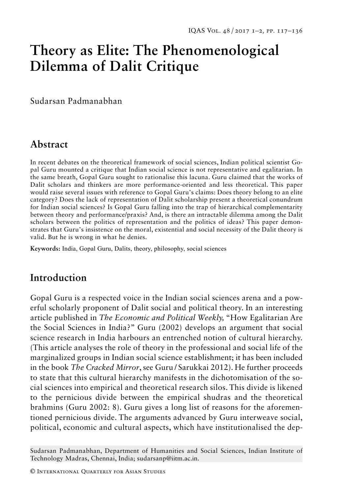# **Theory as Elite: The Phenomenological Dilemma of Dalit Critique**

Sudarsan Padmanabhan

# **Abstract**

In recent debates on the theoretical framework of social sciences, Indian political scientist Gopal Guru mounted a critique that Indian social science is not representative and egalitarian. In the same breath, Gopal Guru sought to rationalise this lacuna. Guru claimed that the works of Dalit scholars and thinkers are more performance-oriented and less theoretical. This paper would raise several issues with reference to Gopal Guru's claims: Does theory belong to an elite category? Does the lack of representation of Dalit scholarship present a theoretical conundrum for Indian social sciences? Is Gopal Guru falling into the trap of hierarchical complementarity between theory and performance/praxis? And, is there an intractable dilemma among the Dalit scholars between the politics of representation and the politics of ideas? This paper demonstrates that Guru's insistence on the moral, existential and social necessity of the Dalit theory is valid. But he is wrong in what he denies.

**Keywords:** India, Gopal Guru, Dalits, theory, philosophy, social sciences

# **Introduction**

Gopal Guru is a respected voice in the Indian social sciences arena and a powerful scholarly proponent of Dalit social and political theory. In an interesting article published in *The Economic and Political Weekly,* "How Egalitarian Are the Social Sciences in India?" Guru (2002) develops an argument that social science research in India harbours an entrenched notion of cultural hierarchy. (This article analyses the role of theory in the professional and social life of the marginalized groups in Indian social science establishment; it has been included in the book *The Cracked Mirror*, see Guru / Sarukkai 2012). He further proceeds to state that this cultural hierarchy manifests in the dichotomisation of the social sciences into empirical and theoretical research silos. This divide is likened to the pernicious divide between the empirical shudras and the theoretical brahmins (Guru 2002: 8). Guru gives a long list of reasons for the aforementioned pernicious divide. The arguments advanced by Guru interweave social, political, economic and cultural aspects, which have institutionalised the dep-

Sudarsan Padmanabhan, Department of Humanities and Social Sciences, Indian Institute of Technology Madras, Chennai, India; sudarsanp@iitm.ac.in.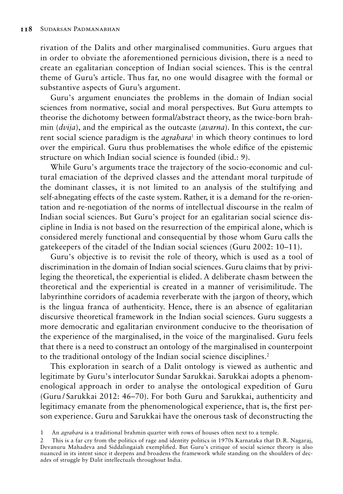rivation of the Dalits and other marginalised communities. Guru argues that in order to obviate the aforementioned pernicious division, there is a need to create an egalitarian conception of Indian social sciences. This is the central theme of Guru's article. Thus far, no one would disagree with the formal or substantive aspects of Guru's argument.

Guru's argument enunciates the problems in the domain of Indian social sciences from normative, social and moral perspectives. But Guru attempts to theorise the dichotomy between formal/abstract theory, as the twice-born brahmin (*dvija*), and the empirical as the outcaste (*avarna*). In this context, the current social science paradigm is the *agrahara*<sup>1</sup> in which theory continues to lord over the empirical. Guru thus problematises the whole edifice of the epistemic structure on which Indian social science is founded (ibid.: 9).

While Guru's arguments trace the trajectory of the socio-economic and cultural emaciation of the deprived classes and the attendant moral turpitude of the dominant classes, it is not limited to an analysis of the stultifying and self-abnegating effects of the caste system. Rather, it is a demand for the re-orientation and re-negotiation of the norms of intellectual discourse in the realm of Indian social sciences. But Guru's project for an egalitarian social science discipline in India is not based on the resurrection of the empirical alone, which is considered merely functional and consequential by those whom Guru calls the gatekeepers of the citadel of the Indian social sciences (Guru 2002: 10–11).

Guru's objective is to revisit the role of theory, which is used as a tool of discrimination in the domain of Indian social sciences. Guru claims that by privileging the theoretical, the experiential is elided. A deliberate chasm between the theoretical and the experiential is created in a manner of verisimilitude. The labyrinthine corridors of academia reverberate with the jargon of theory, which is the lingua franca of authenticity. Hence, there is an absence of egalitarian discursive theoretical framework in the Indian social sciences. Guru suggests a more democratic and egalitarian environment conducive to the theorisation of the experience of the marginalised, in the voice of the marginalised. Guru feels that there is a need to construct an ontology of the marginalised in counterpoint to the traditional ontology of the Indian social science disciplines.<sup>2</sup>

This exploration in search of a Dalit ontology is viewed as authentic and legitimate by Guru's interlocutor Sundar Sarukkai. Sarukkai adopts a phenomenological approach in order to analyse the ontological expedition of Guru (Guru / Sarukkai 2012: 46–70). For both Guru and Sarukkai, authenticity and legitimacy emanate from the phenomenological experience, that is, the first person experience. Guru and Sarukkai have the onerous task of deconstructing the

<sup>1</sup> An *agrahara* is a traditional brahmin quarter with rows of houses often next to a temple.

<sup>2</sup> This is a far cry from the politics of rage and identity politics in 1970s Karnataka that D. R. Nagaraj, Devanuru Mahadeva and Siddalingaiah exemplified. But Guru's critique of social science theory is also nuanced in its intent since it deepens and broadens the framework while standing on the shoulders of decades of struggle by Dalit intellectuals throughout India.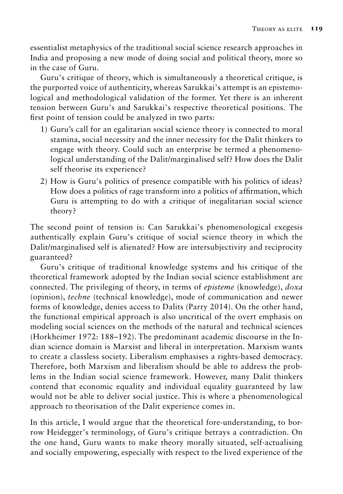essentialist metaphysics of the traditional social science research approaches in India and proposing a new mode of doing social and political theory, more so in the case of Guru.

Guru's critique of theory, which is simultaneously a theoretical critique, is the purported voice of authenticity, whereas Sarukkai's attempt is an epistemological and methodological validation of the former. Yet there is an inherent tension between Guru's and Sarukkai's respective theoretical positions. The first point of tension could be analyzed in two parts:

- 1) Guru's call for an egalitarian social science theory is connected to moral stamina, social necessity and the inner necessity for the Dalit thinkers to engage with theory. Could such an enterprise be termed a phenomenological understanding of the Dalit/marginalised self? How does the Dalit self theorise its experience?
- 2) How is Guru's politics of presence compatible with his politics of ideas? How does a politics of rage transform into a politics of affirmation, which Guru is attempting to do with a critique of inegalitarian social science theory?

The second point of tension is: Can Sarukkai's phenomenological exegesis authentically explain Guru's critique of social science theory in which the Dalit/marginalised self is alienated? How are intersubjectivity and reciprocity guaranteed?

Guru's critique of traditional knowledge systems and his critique of the theoretical framework adopted by the Indian social science establishment are connected. The privileging of theory, in terms of *episteme* (knowledge), *doxa*  (opinion), *techne* (technical knowledge), mode of communication and newer forms of knowledge, denies access to Dalits (Parry 2014). On the other hand, the functional empirical approach is also uncritical of the overt emphasis on modeling social sciences on the methods of the natural and technical sciences (Horkheimer 1972: 188–192). The predominant academic discourse in the Indian science domain is Marxist and liberal in interpretation. Marxism wants to create a classless society. Liberalism emphasises a rights-based democracy. Therefore, both Marxism and liberalism should be able to address the problems in the Indian social science framework. However, many Dalit thinkers contend that economic equality and individual equality guaranteed by law would not be able to deliver social justice. This is where a phenomenological approach to theorisation of the Dalit experience comes in.

In this article, I would argue that the theoretical fore-understanding, to borrow Heidegger's terminology, of Guru's critique betrays a contradiction. On the one hand, Guru wants to make theory morally situated, self-actualising and socially empowering, especially with respect to the lived experience of the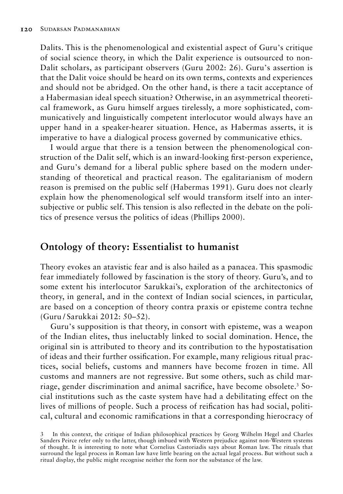Dalits. This is the phenomenological and existential aspect of Guru's critique of social science theory, in which the Dalit experience is outsourced to non-Dalit scholars, as participant observers (Guru 2002: 26). Guru's assertion is that the Dalit voice should be heard on its own terms, contexts and experiences and should not be abridged. On the other hand, is there a tacit acceptance of a Habermasian ideal speech situation? Otherwise, in an asymmetrical theoretical framework, as Guru himself argues tirelessly, a more sophisticated, communicatively and linguistically competent interlocutor would always have an upper hand in a speaker-hearer situation. Hence, as Habermas asserts, it is imperative to have a dialogical process governed by communicative ethics.

I would argue that there is a tension between the phenomenological construction of the Dalit self, which is an inward-looking first-person experience, and Guru's demand for a liberal public sphere based on the modern understanding of theoretical and practical reason. The egalitarianism of modern reason is premised on the public self (Habermas 1991). Guru does not clearly explain how the phenomenological self would transform itself into an intersubjective or public self. This tension is also reflected in the debate on the politics of presence versus the politics of ideas (Phillips 2000).

## **Ontology of theory: Essentialist to humanist**

Theory evokes an atavistic fear and is also hailed as a panacea. This spasmodic fear immediately followed by fascination is the story of theory. Guru's, and to some extent his interlocutor Sarukkai's, exploration of the architectonics of theory, in general, and in the context of Indian social sciences, in particular, are based on a conception of theory contra praxis or episteme contra techne (Guru / Sarukkai 2012: 50–52).

Guru's supposition is that theory, in consort with episteme, was a weapon of the Indian elites, thus ineluctably linked to social domination. Hence, the original sin is attributed to theory and its contribution to the hypostatisation of ideas and their further ossification. For example, many religious ritual practices, social beliefs, customs and manners have become frozen in time. All customs and manners are not regressive. But some others, such as child marriage, gender discrimination and animal sacrifice, have become obsolete.<sup>3</sup> Social institutions such as the caste system have had a debilitating effect on the lives of millions of people. Such a process of reification has had social, political, cultural and economic ramifications in that a corresponding hierocracy of

<sup>3</sup> In this context, the critique of Indian philosophical practices by Georg Wilhelm Hegel and Charles Sanders Peirce refer only to the latter, though imbued with Western prejudice against non-Western systems of thought. It is interesting to note what Cornelius Castoriadis says about Roman law. The rituals that surround the legal process in Roman law have little bearing on the actual legal process. But without such a ritual display, the public might recognise neither the form nor the substance of the law.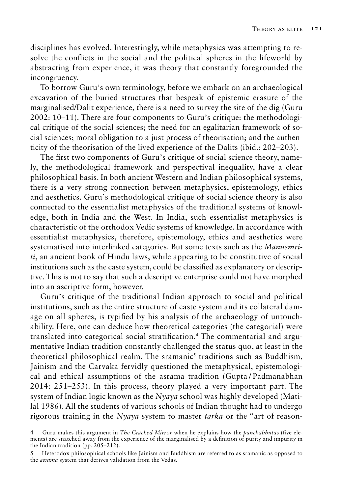disciplines has evolved. Interestingly, while metaphysics was attempting to resolve the conflicts in the social and the political spheres in the lifeworld by abstracting from experience, it was theory that constantly foregrounded the incongruency.

To borrow Guru's own terminology, before we embark on an archaeological excavation of the buried structures that bespeak of epistemic erasure of the marginalised/Dalit experience, there is a need to survey the site of the dig (Guru 2002: 10–11). There are four components to Guru's critique: the methodological critique of the social sciences; the need for an egalitarian framework of social sciences; moral obligation to a just process of theorisation; and the authenticity of the theorisation of the lived experience of the Dalits (ibid.: 202–203).

The first two components of Guru's critique of social science theory, namely, the methodological framework and perspectival inequality, have a clear philosophical basis. In both ancient Western and Indian philosophical systems, there is a very strong connection between metaphysics, epistemology, ethics and aesthetics. Guru's methodological critique of social science theory is also connected to the essentialist metaphysics of the traditional systems of knowledge, both in India and the West. In India, such essentialist metaphysics is characteristic of the orthodox Vedic systems of knowledge. In accordance with essentialist metaphysics, therefore, epistemology, ethics and aesthetics were systematised into interlinked categories. But some texts such as the *Manusmriti*, an ancient book of Hindu laws, while appearing to be constitutive of social institutions such as the caste system, could be classified as explanatory or descriptive. This is not to say that such a descriptive enterprise could not have morphed into an ascriptive form, however.

Guru's critique of the traditional Indian approach to social and political institutions, such as the entire structure of caste system and its collateral damage on all spheres, is typified by his analysis of the archaeology of untouchability. Here, one can deduce how theoretical categories (the categorial) were translated into categorical social stratification.<sup>4</sup> The commentarial and argumentative Indian tradition constantly challenged the status quo, at least in the theoretical-philosophical realm. The sramanic<sup>5</sup> traditions such as Buddhism, Jainism and the Carvaka fervidly questioned the metaphysical, epistemological and ethical assumptions of the asrama tradition (Gupta / Padmanabhan 2014: 251–253). In this process, theory played a very important part. The system of Indian logic known as the *Nyaya* school was highly developed (Matilal 1986). All the students of various schools of Indian thought had to undergo rigorous training in the *Nyaya* system to master *tarka* or the "art of reason-

<sup>4</sup> Guru makes this argument in *The Cracked Mirror* when he explains how the *panchabhuta*s (five elements) are snatched away from the experience of the marginalised by a definition of purity and impurity in the Indian tradition (pp. 205–212).

<sup>5</sup> Heterodox philosophical schools like Jainism and Buddhism are referred to as sramanic as opposed to the *asrama* system that derives validation from the Vedas.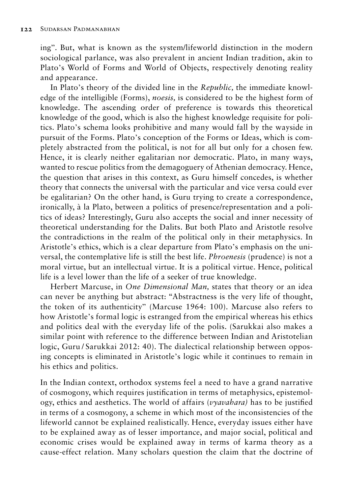ing". But, what is known as the system/lifeworld distinction in the modern sociological parlance, was also prevalent in ancient Indian tradition, akin to Plato's World of Forms and World of Objects, respectively denoting reality and appearance.

In Plato's theory of the divided line in the *Republic,* the immediate knowledge of the intelligible (Forms), *noesis,* is considered to be the highest form of knowledge. The ascending order of preference is towards this theoretical knowledge of the good, which is also the highest knowledge requisite for politics. Plato's schema looks prohibitive and many would fall by the wayside in pursuit of the Forms. Plato's conception of the Forms or Ideas, which is completely abstracted from the political, is not for all but only for a chosen few. Hence, it is clearly neither egalitarian nor democratic. Plato, in many ways, wanted to rescue politics from the demagoguery of Athenian democracy. Hence, the question that arises in this context, as Guru himself concedes, is whether theory that connects the universal with the particular and vice versa could ever be egalitarian? On the other hand, is Guru trying to create a correspondence, ironically, à la Plato, between a politics of presence/representation and a politics of ideas? Interestingly, Guru also accepts the social and inner necessity of theoretical understanding for the Dalits. But both Plato and Aristotle resolve the contradictions in the realm of the political only in their metaphysics. In Aristotle's ethics, which is a clear departure from Plato's emphasis on the universal, the contemplative life is still the best life. *Phroenesis* (prudence) is not a moral virtue, but an intellectual virtue. It is a political virtue. Hence, political life is a level lower than the life of a seeker of true knowledge.

Herbert Marcuse, in *One Dimensional Man,* states that theory or an idea can never be anything but abstract: "Abstractness is the very life of thought, the token of its authenticity" (Marcuse 1964: 100). Marcuse also refers to how Aristotle's formal logic is estranged from the empirical whereas his ethics and politics deal with the everyday life of the polis. (Sarukkai also makes a similar point with reference to the difference between Indian and Aristotelian logic, Guru / Sarukkai 2012: 40). The dialectical relationship between opposing concepts is eliminated in Aristotle's logic while it continues to remain in his ethics and politics.

In the Indian context, orthodox systems feel a need to have a grand narrative of cosmogony, which requires justification in terms of metaphysics, epistemology, ethics and aesthetics. The world of affairs (*vyavahara)* has to be justified in terms of a cosmogony, a scheme in which most of the inconsistencies of the lifeworld cannot be explained realistically. Hence, everyday issues either have to be explained away as of lesser importance, and major social, political and economic crises would be explained away in terms of karma theory as a cause-effect relation. Many scholars question the claim that the doctrine of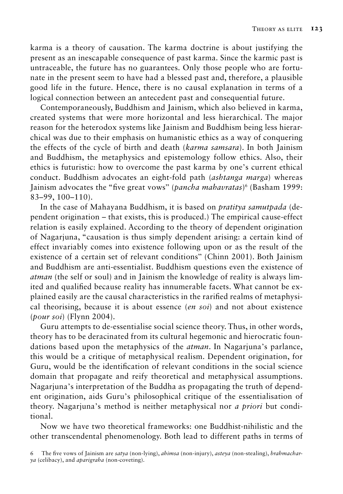karma is a theory of causation. The karma doctrine is about justifying the present as an inescapable consequence of past karma*.* Since the karmic past is untraceable, the future has no guarantees. Only those people who are fortunate in the present seem to have had a blessed past and, therefore, a plausible good life in the future. Hence, there is no causal explanation in terms of a logical connection between an antecedent past and consequential future.

Contemporaneously, Buddhism and Jainism, which also believed in karma, created systems that were more horizontal and less hierarchical. The major reason for the heterodox systems like Jainism and Buddhism being less hierarchical was due to their emphasis on humanistic ethics as a way of conquering the effects of the cycle of birth and death (*karma samsara*). In both Jainism and Buddhism, the metaphysics and epistemology follow ethics. Also, their ethics is futuristic: how to overcome the past karma by one's current ethical conduct. Buddhism advocates an eight-fold path (*ashtanga marga*) whereas Jainism advocates the "five great vows" (*pancha mahavratas*)<sup>6</sup> (Basham 1999: 83–99, 100–110).

In the case of Mahayana Buddhism, it is based on *pratitya samutpada* (dependent origination *–* that exists, this is produced.) The empirical cause-effect relation is easily explained. According to the theory of dependent origination of Nagarjuna, "causation is thus simply dependent arising: a certain kind of effect invariably comes into existence following upon or as the result of the existence of a certain set of relevant conditions" (Chinn 2001). Both Jainism and Buddhism are anti-essentialist. Buddhism questions even the existence of *atman* (the self or soul) and in Jainism the knowledge of reality is always limited and qualified because reality has innumerable facets. What cannot be explained easily are the causal characteristics in the rarified realms of metaphysical theorising, because it is about essence (*en soi*) and not about existence (*pour soi*) (Flynn 2004).

Guru attempts to de-essentialise social science theory. Thus, in other words, theory has to be deracinated from its cultural hegemonic and hierocratic foundations based upon the metaphysics of the *atman*. In Nagarjuna's parlance, this would be a critique of metaphysical realism. Dependent origination, for Guru, would be the identification of relevant conditions in the social science domain that propagate and reify theoretical and metaphysical assumptions. Nagarjuna's interpretation of the Buddha as propagating the truth of dependent origination, aids Guru's philosophical critique of the essentialisation of theory. Nagarjuna's method is neither metaphysical nor *a priori* but conditional.

Now we have two theoretical frameworks: one Buddhist-nihilistic and the other transcendental phenomenology. Both lead to different paths in terms of

<sup>6</sup> The five vows of Jainism are *satya* (non-lying), *ahimsa* (non-injury), *asteya* (non-stealing), *brahmacharya* (celibacy), and *aparigraha* (non-coveting).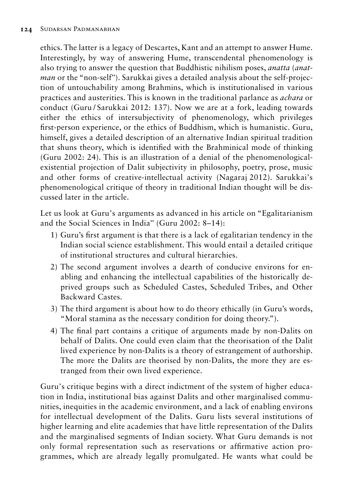ethics. The latter is a legacy of Descartes, Kant and an attempt to answer Hume. Interestingly, by way of answering Hume, transcendental phenomenology is also trying to answer the question that Buddhistic nihilism poses, *anatta* (*anatman* or the "non-self"). Sarukkai gives a detailed analysis about the self-projection of untouchability among Brahmins, which is institutionalised in various practices and austerities. This is known in the traditional parlance as *achara* or conduct (Guru / Sarukkai 2012: 137). Now we are at a fork, leading towards either the ethics of intersubjectivity of phenomenology, which privileges first-person experience, or the ethics of Buddhism, which is humanistic. Guru, himself, gives a detailed description of an alternative Indian spiritual tradition that shuns theory, which is identified with the Brahminical mode of thinking (Guru 2002: 24). This is an illustration of a denial of the phenomenologicalexistential projection of Dalit subjectivity in philosophy, poetry, prose, music and other forms of creative-intellectual activity (Nagaraj 2012). Sarukkai's phenomenological critique of theory in traditional Indian thought will be discussed later in the article.

Let us look at Guru's arguments as advanced in his article on "Egalitarianism and the Social Sciences in India" (Guru 2002: 8–14):

- 1) Guru's first argument is that there is a lack of egalitarian tendency in the Indian social science establishment. This would entail a detailed critique of institutional structures and cultural hierarchies.
- 2) The second argument involves a dearth of conducive environs for enabling and enhancing the intellectual capabilities of the historically deprived groups such as Scheduled Castes, Scheduled Tribes, and Other Backward Castes.
- 3) The third argument is about how to do theory ethically (in Guru's words, "Moral stamina as the necessary condition for doing theory.").
- 4) The final part contains a critique of arguments made by non-Dalits on behalf of Dalits. One could even claim that the theorisation of the Dalit lived experience by non-Dalits is a theory of estrangement of authorship. The more the Dalits are theorised by non-Dalits, the more they are estranged from their own lived experience.

Guru's critique begins with a direct indictment of the system of higher education in India, institutional bias against Dalits and other marginalised communities, inequities in the academic environment, and a lack of enabling environs for intellectual development of the Dalits. Guru lists several institutions of higher learning and elite academies that have little representation of the Dalits and the marginalised segments of Indian society. What Guru demands is not only formal representation such as reservations or affirmative action programmes, which are already legally promulgated. He wants what could be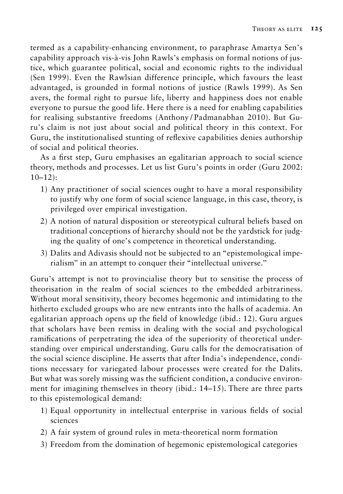termed as a capability-enhancing environment, to paraphrase Amartya Sen's capability approach vis-à-vis John Rawls's emphasis on formal notions of justice, which guarantee political, social and economic rights to the individual (Sen 1999). Even the Rawlsian difference principle, which favours the least advantaged, is grounded in formal notions of justice (Rawls 1999). As Sen avers, the formal right to pursue life, liberty and happiness does not enable everyone to pursue the good life. Here there is a need for enabling capabilities for realising substantive freedoms (Anthony / Padmanabhan 2010). But Guru's claim is not just about social and political theory in this context. For Guru, the institutionalised stunting of reflexive capabilities denies authorship of social and political theories.

As a first step, Guru emphasises an egalitarian approach to social science theory, methods and processes. Let us list Guru's points in order (Guru 2002:  $10-12$ :

- 1) Any practitioner of social sciences ought to have a moral responsibility to justify why one form of social science language, in this case, theory, is privileged over empirical investigation.
- 2) A notion of natural disposition or stereotypical cultural beliefs based on traditional conceptions of hierarchy should not be the yardstick for judging the quality of one's competence in theoretical understanding.
- 3) Dalits and Adivasis should not be subjected to an "epistemological imperialism" in an attempt to conquer their "intellectual universe."

Guru's attempt is not to provincialise theory but to sensitise the process of theorisation in the realm of social sciences to the embedded arbitrariness. Without moral sensitivity, theory becomes hegemonic and intimidating to the hitherto excluded groups who are new entrants into the halls of academia. An egalitarian approach opens up the field of knowledge (ibid.: 12). Guru argues that scholars have been remiss in dealing with the social and psychological ramifications of perpetrating the idea of the superiority of theoretical understanding over empirical understanding. Guru calls for the democratisation of the social science discipline. He asserts that after India's independence, conditions necessary for variegated labour processes were created for the Dalits. But what was sorely missing was the sufficient condition, a conducive environment for imagining themselves in theory (ibid.: 14–15). There are three parts to this epistemological demand:

- 1) Equal opportunity in intellectual enterprise in various fields of social sciences
- 2) A fair system of ground rules in meta-theoretical norm formation
- 3) Freedom from the domination of hegemonic epistemological categories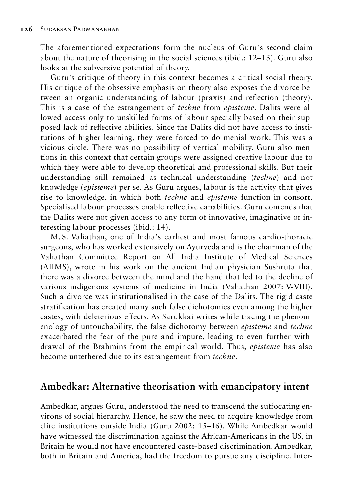The aforementioned expectations form the nucleus of Guru's second claim about the nature of theorising in the social sciences (ibid.: 12–13). Guru also looks at the subversive potential of theory.

Guru's critique of theory in this context becomes a critical social theory. His critique of the obsessive emphasis on theory also exposes the divorce between an organic understanding of labour (praxis) and reflection (theory). This is a case of the estrangement of *techne* from *episteme.* Dalits were allowed access only to unskilled forms of labour specially based on their supposed lack of reflective abilities. Since the Dalits did not have access to institutions of higher learning, they were forced to do menial work. This was a vicious circle. There was no possibility of vertical mobility. Guru also mentions in this context that certain groups were assigned creative labour due to which they were able to develop theoretical and professional skills. But their understanding still remained as technical understanding (*techne*) and not knowledge (*episteme*) per se. As Guru argues, labour is the activity that gives rise to knowledge, in which both *techne* and *episteme* function in consort. Specialised labour processes enable reflective capabilities. Guru contends that the Dalits were not given access to any form of innovative, imaginative or interesting labour processes (ibid.: 14).

M. S. Valiathan, one of India's earliest and most famous cardio-thoracic surgeons, who has worked extensively on Ayurveda and is the chairman of the Valiathan Committee Report on All India Institute of Medical Sciences (AIIMS), wrote in his work on the ancient Indian physician Sushruta that there was a divorce between the mind and the hand that led to the decline of various indigenous systems of medicine in India (Valiathan 2007: V-VIII)*.*  Such a divorce was institutionalised in the case of the Dalits. The rigid caste stratification has created many such false dichotomies even among the higher castes, with deleterious effects. As Sarukkai writes while tracing the phenomenology of untouchability, the false dichotomy between *episteme* and *techne* exacerbated the fear of the pure and impure, leading to even further withdrawal of the Brahmins from the empirical world. Thus, *episteme* has also become untethered due to its estrangement from *techne.*

#### **Ambedkar: Alternative theorisation with emancipatory intent**

Ambedkar, argues Guru, understood the need to transcend the suffocating environs of social hierarchy. Hence, he saw the need to acquire knowledge from elite institutions outside India (Guru 2002: 15–16). While Ambedkar would have witnessed the discrimination against the African-Americans in the US, in Britain he would not have encountered caste-based discrimination. Ambedkar, both in Britain and America, had the freedom to pursue any discipline. Inter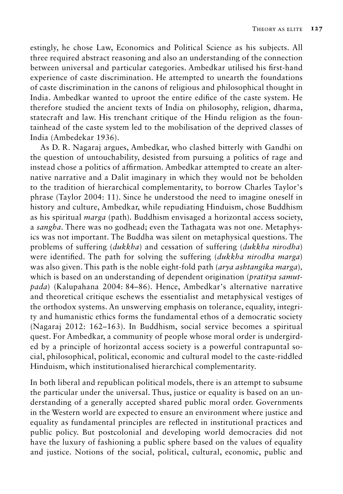estingly, he chose Law, Economics and Political Science as his subjects. All three required abstract reasoning and also an understanding of the connection between universal and particular categories. Ambedkar utilised his first-hand experience of caste discrimination. He attempted to unearth the foundations of caste discrimination in the canons of religious and philosophical thought in India. Ambedkar wanted to uproot the entire edifice of the caste system. He therefore studied the ancient texts of India on philosophy, religion, dharma, statecraft and law. His trenchant critique of the Hindu religion as the fountainhead of the caste system led to the mobilisation of the deprived classes of India (Ambedekar 1936).

As D. R. Nagaraj argues, Ambedkar, who clashed bitterly with Gandhi on the question of untouchability, desisted from pursuing a politics of rage and instead chose a politics of affirmation. Ambedkar attempted to create an alternative narrative and a Dalit imaginary in which they would not be beholden to the tradition of hierarchical complementarity, to borrow Charles Taylor's phrase (Taylor 2004: 11). Since he understood the need to imagine oneself in history and culture, Ambedkar, while repudiating Hinduism, chose Buddhism as his spiritual *marga* (path)*.* Buddhism envisaged a horizontal access society, a *sangha*. There was no godhead; even the Tathagata was not one. Metaphysics was not important. The Buddha was silent on metaphysical questions. The problems of suffering (*dukkha*) and cessation of suffering (*dukkha nirodha*) were identified. The path for solving the suffering (*dukkha nirodha marga*) was also given. This path is the noble eight-fold path (*arya ashtangika marga*)*,*  which is based on an understanding of dependent origination (*pratitya samutpada*) (Kalupahana 2004: 84–86). Hence, Ambedkar's alternative narrative and theoretical critique eschews the essentialist and metaphysical vestiges of the orthodox systems. An unswerving emphasis on tolerance, equality, integrity and humanistic ethics forms the fundamental ethos of a democratic society (Nagaraj 2012: 162–163). In Buddhism, social service becomes a spiritual quest. For Ambedkar, a community of people whose moral order is undergirded by a principle of horizontal access society is a powerful contrapuntal social, philosophical, political, economic and cultural model to the caste-riddled Hinduism, which institutionalised hierarchical complementarity.

In both liberal and republican political models, there is an attempt to subsume the particular under the universal. Thus, justice or equality is based on an understanding of a generally accepted shared public moral order. Governments in the Western world are expected to ensure an environment where justice and equality as fundamental principles are reflected in institutional practices and public policy. But postcolonial and developing world democracies did not have the luxury of fashioning a public sphere based on the values of equality and justice. Notions of the social, political, cultural, economic, public and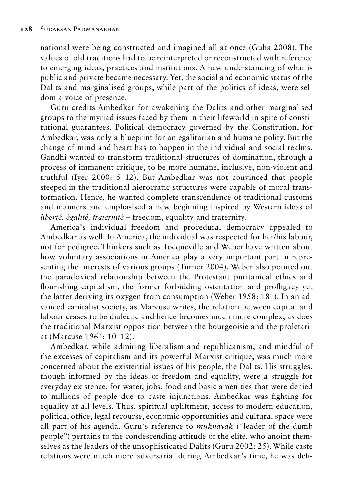national were being constructed and imagined all at once (Guha 2008). The values of old traditions had to be reinterpreted or reconstructed with reference to emerging ideas, practices and institutions. A new understanding of what is public and private became necessary. Yet, the social and economic status of the Dalits and marginalised groups, while part of the politics of ideas, were seldom a voice of presence.

Guru credits Ambedkar for awakening the Dalits and other marginalised groups to the myriad issues faced by them in their lifeworld in spite of constitutional guarantees. Political democracy governed by the Constitution, for Ambedkar, was only a blueprint for an egalitarian and humane polity. But the change of mind and heart has to happen in the individual and social realms. Gandhi wanted to transform traditional structures of domination, through a process of immanent critique, to be more humane, inclusive, non-violent and truthful (Iyer 2000: 5–12). But Ambedkar was not convinced that people steeped in the traditional hierocratic structures were capable of moral transformation. Hence, he wanted complete transcendence of traditional customs and manners and emphasised a new beginning inspired by Western ideas of *liberté, égalité, fraternité* – freedom, equality and fraternity.

America's individual freedom and procedural democracy appealed to Ambedkar as well. In America, the individual was respected for her/his labour, not for pedigree. Thinkers such as Tocqueville and Weber have written about how voluntary associations in America play a very important part in representing the interests of various groups (Turner 2004). Weber also pointed out the paradoxical relationship between the Protestant puritanical ethics and flourishing capitalism, the former forbidding ostentation and profligacy yet the latter deriving its oxygen from consumption (Weber 1958: 181). In an advanced capitalist society, as Marcuse writes, the relation between capital and labour ceases to be dialectic and hence becomes much more complex, as does the traditional Marxist opposition between the bourgeoisie and the proletariat (Marcuse 1964: 10–12).

Ambedkar, while admiring liberalism and republicanism, and mindful of the excesses of capitalism and its powerful Marxist critique, was much more concerned about the existential issues of his people, the Dalits. His struggles, though informed by the ideas of freedom and equality, were a struggle for everyday existence, for water, jobs, food and basic amenities that were denied to millions of people due to caste injunctions. Ambedkar was fighting for equality at all levels. Thus, spiritual upliftment, access to modern education, political office, legal recourse, economic opportunities and cultural space were all part of his agenda. Guru's reference to *muknayak* ("leader of the dumb people") pertains to the condescending attitude of the elite, who anoint themselves as the leaders of the unsophisticated Dalits (Guru 2002: 25). While caste relations were much more adversarial during Ambedkar's time, he was defi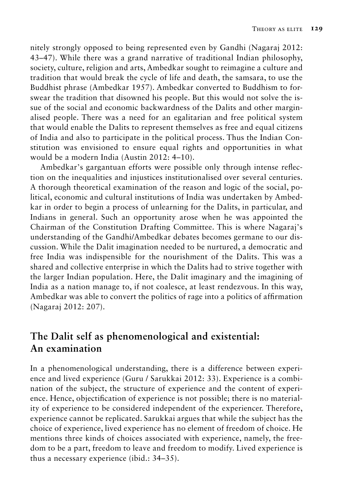nitely strongly opposed to being represented even by Gandhi (Nagaraj 2012: 43–47). While there was a grand narrative of traditional Indian philosophy, society, culture, religion and arts, Ambedkar sought to reimagine a culture and tradition that would break the cycle of life and death, the samsara, to use the Buddhist phrase (Ambedkar 1957). Ambedkar converted to Buddhism to forswear the tradition that disowned his people. But this would not solve the issue of the social and economic backwardness of the Dalits and other marginalised people. There was a need for an egalitarian and free political system that would enable the Dalits to represent themselves as free and equal citizens of India and also to participate in the political process. Thus the Indian Constitution was envisioned to ensure equal rights and opportunities in what would be a modern India (Austin 2012: 4–10).

Ambedkar's gargantuan efforts were possible only through intense reflection on the inequalities and injustices institutionalised over several centuries. A thorough theoretical examination of the reason and logic of the social, political, economic and cultural institutions of India was undertaken by Ambedkar in order to begin a process of unlearning for the Dalits, in particular, and Indians in general. Such an opportunity arose when he was appointed the Chairman of the Constitution Drafting Committee. This is where Nagaraj's understanding of the Gandhi/Ambedkar debates becomes germane to our discussion. While the Dalit imagination needed to be nurtured, a democratic and free India was indispensible for the nourishment of the Dalits. This was a shared and collective enterprise in which the Dalits had to strive together with the larger Indian population. Here, the Dalit imaginary and the imagining of India as a nation manage to, if not coalesce, at least rendezvous. In this way, Ambedkar was able to convert the politics of rage into a politics of affirmation (Nagaraj 2012: 207).

# **The Dalit self as phenomenological and existential: An examination**

In a phenomenological understanding, there is a difference between experience and lived experience (Guru / Sarukkai 2012: 33). Experience is a combination of the subject, the structure of experience and the content of experience. Hence, objectification of experience is not possible; there is no materiality of experience to be considered independent of the experiencer. Therefore, experience cannot be replicated. Sarukkai argues that while the subject has the choice of experience, lived experience has no element of freedom of choice. He mentions three kinds of choices associated with experience, namely, the freedom to be a part, freedom to leave and freedom to modify. Lived experience is thus a necessary experience (ibid.: 34–35).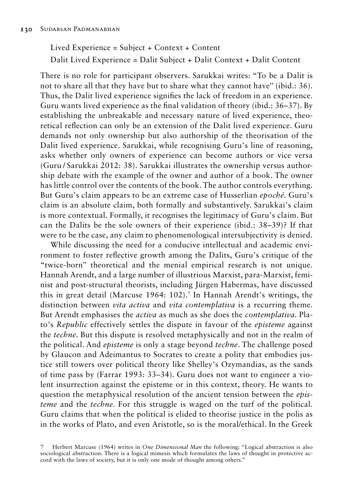Lived Experience = Subject + Context + Content Dalit Lived Experience = Dalit Subject + Dalit Context + Dalit Content

There is no role for participant observers. Sarukkai writes: "To be a Dalit is not to share all that they have but to share what they cannot have" (ibid.: 36). Thus, the Dalit lived experience signifies the lack of freedom in an experience. Guru wants lived experience as the final validation of theory (ibid.: 36–37). By establishing the unbreakable and necessary nature of lived experience, theoretical reflection can only be an extension of the Dalit lived experience. Guru demands not only ownership but also authorship of the theorisation of the Dalit lived experience. Sarukkai, while recognising Guru's line of reasoning, asks whether only owners of experience can become authors or vice versa (Guru / Sarukkai 2012: 38). Sarukkai illustrates the ownership versus authorship debate with the example of the owner and author of a book. The owner has little control over the contents of the book. The author controls everything. But Guru's claim appears to be an extreme case of Husserlian *epoché.* Guru's claim is an absolute claim, both formally and substantively. Sarukkai's claim is more contextual. Formally, it recognises the legitimacy of Guru's claim. But can the Dalits be the sole owners of their experience (ibid.: 38–39)? If that were to be the case, any claim to phenomenological intersubjectivity is denied.

While discussing the need for a conducive intellectual and academic environment to foster reflective growth among the Dalits, Guru's critique of the "twice-born" theoretical and the menial empirical research is not unique. Hannah Arendt, and a large number of illustrious Marxist, para-Marxist, feminist and post-structural theorists, including Jürgen Habermas, have discussed this in great detail (Marcuse 1964: 102).<sup>7</sup> In Hannah Arendt's writings, the distinction between *vita activa* and *vita contemplativa* is a recurring theme. But Arendt emphasises the *activa* as much as she does the *contemplativa.* Plato's *Republic* effectively settles the dispute in favour of the *episteme* against the *techne.* But this dispute is resolved metaphysically and not in the realm of the political. And *episteme* is only a stage beyond *techne*. The challenge posed by Glaucon and Adeimantus to Socrates to create a polity that embodies justice still towers over political theory like Shelley's Ozymandias, as the sands of time pass by (Farrar 1993: 33–34). Guru does not want to engineer a violent insurrection against the episteme or in this context, theory. He wants to question the metaphysical resolution of the ancient tension between the *episteme* and the *techne.* For this struggle is waged on the turf of the political. Guru claims that when the political is elided to theorise justice in the polis as in the works of Plato, and even Aristotle, so is the moral/ethical. In the Greek

7 Herbert Marcuse (1964) writes in *One Dimensional Man* the following: "Logical abstraction is also sociological abstraction. There is a logical mimesis which formulates the laws of thought in protective accord with the laws of society, but it is only one mode of thought among others."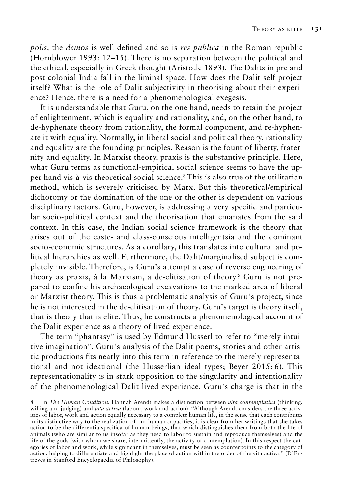*polis,* the *demos* is well-defined and so is *res publica* in the Roman republic (Hornblower 1993: 12–15). There is no separation between the political and the ethical, especially in Greek thought (Aristotle 1893). The Dalits in pre and post-colonial India fall in the liminal space. How does the Dalit self project itself? What is the role of Dalit subjectivity in theorising about their experience? Hence, there is a need for a phenomenological exegesis.

It is understandable that Guru, on the one hand, needs to retain the project of enlightenment, which is equality and rationality, and, on the other hand, to de-hyphenate theory from rationality, the formal component, and re-hyphenate it with equality. Normally, in liberal social and political theory, rationality and equality are the founding principles. Reason is the fount of liberty, fraternity and equality. In Marxist theory, praxis is the substantive principle. Here, what Guru terms as functional-empirical social science seems to have the upper hand vis-à-vis theoretical social science.<sup>8</sup> This is also true of the utilitarian method, which is severely criticised by Marx. But this theoretical/empirical dichotomy or the domination of the one or the other is dependent on various disciplinary factors. Guru, however, is addressing a very specific and particular socio-political context and the theorisation that emanates from the said context. In this case, the Indian social science framework is the theory that arises out of the caste- and class-conscious intelligentsia and the dominant socio-economic structures. As a corollary, this translates into cultural and political hierarchies as well. Furthermore, the Dalit/marginalised subject is completely invisible. Therefore, is Guru's attempt a case of reverse engineering of theory as praxis, à la Marxism, a de-elitisation of theory? Guru is not prepared to confine his archaeological excavations to the marked area of liberal or Marxist theory. This is thus a problematic analysis of Guru's project, since he is not interested in the de-elitisation of theory. Guru's target is theory itself, that is theory that is elite. Thus, he constructs a phenomenological account of the Dalit experience as a theory of lived experience.

The term "phantasy" is used by Edmund Husserl to refer to "merely intuitive imagination". Guru's analysis of the Dalit poems, stories and other artistic productions fits neatly into this term in reference to the merely representational and not ideational (the Husserlian ideal types; Beyer 2015: 6). This representationality is in stark opposition to the singularity and intentionality of the phenomenological Dalit lived experience. Guru's charge is that in the

<sup>8</sup> In *The Human Condition*, Hannah Arendt makes a distinction between *vita contemplativa* (thinking, willing and judging) and *vita activa* (labour, work and action). "Although Arendt considers the three activities of labor, work and action equally necessary to a complete human life, in the sense that each contributes in its distinctive way to the realization of our human capacities, it is clear from her writings that she takes action to be the differentia specifica of human beings, that which distinguishes them from both the life of animals (who are similar to us insofar as they need to labor to sustain and reproduce themselves) and the life of the gods (with whom we share, intermittently, the activity of contemplation). In this respect the categories of labor and work, while significant in themselves, must be seen as counterpoints to the category of action, helping to differentiate and highlight the place of action within the order of the vita activa." (D'Entreves in Stanford Encyclopaedia of Philosophy).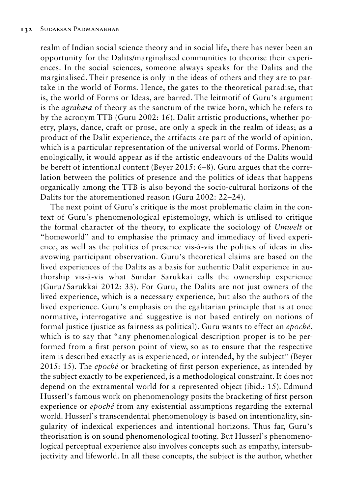realm of Indian social science theory and in social life, there has never been an opportunity for the Dalits/marginalised communities to theorise their experiences. In the social sciences, someone always speaks for the Dalits and the marginalised. Their presence is only in the ideas of others and they are to partake in the world of Forms. Hence, the gates to the theoretical paradise, that is, the world of Forms or Ideas, are barred. The leitmotif of Guru's argument is the *agrahara* of theory as the sanctum of the twice born, which he refers to by the acronym TTB (Guru 2002: 16). Dalit artistic productions, whether poetry, plays, dance, craft or prose, are only a speck in the realm of ideas; as a product of the Dalit experience, the artifacts are part of the world of opinion, which is a particular representation of the universal world of Forms. Phenomenologically, it would appear as if the artistic endeavours of the Dalits would be bereft of intentional content (Beyer 2015: 6–8). Guru argues that the correlation between the politics of presence and the politics of ideas that happens organically among the TTB is also beyond the socio-cultural horizons of the Dalits for the aforementioned reason (Guru 2002: 22–24).

The next point of Guru's critique is the most problematic claim in the context of Guru's phenomenological epistemology, which is utilised to critique the formal character of the theory, to explicate the sociology of *Umwelt* or "homeworld" and to emphasise the primacy and immediacy of lived experience, as well as the politics of presence vis-à-vis the politics of ideas in disavowing participant observation. Guru's theoretical claims are based on the lived experiences of the Dalits as a basis for authentic Dalit experience in authorship vis-à-vis what Sundar Sarukkai calls the ownership experience (Guru / Sarukkai 2012: 33). For Guru, the Dalits are not just owners of the lived experience, which is a necessary experience, but also the authors of the lived experience. Guru's emphasis on the egalitarian principle that is at once normative, interrogative and suggestive is not based entirely on notions of formal justice (justice as fairness as political). Guru wants to effect an *epoché*, which is to say that "any phenomenological description proper is to be performed from a first person point of view, so as to ensure that the respective item is described exactly as is experienced, or intended, by the subject" (Beyer 2015: 15). The *epoché* or bracketing of first person experience, as intended by the subject exactly to be experienced, is a methodological constraint. It does not depend on the extramental world for a represented object (ibid.: 15). Edmund Husserl's famous work on phenomenology posits the bracketing of first person experience or *epoché* from any existential assumptions regarding the external world. Husserl's transcendental phenomenology is based on intentionality, singularity of indexical experiences and intentional horizons. Thus far, Guru's theorisation is on sound phenomenological footing. But Husserl's phenomenological perceptual experience also involves concepts such as empathy, intersubjectivity and lifeworld. In all these concepts, the subject is the author, whether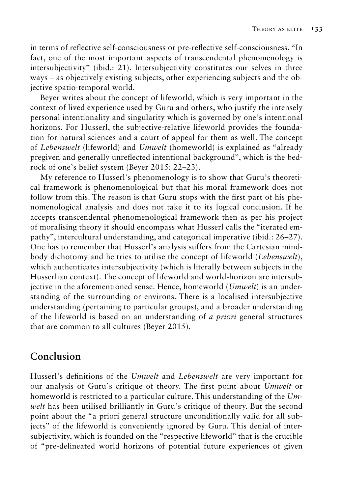in terms of reflective self-consciousness or pre-reflective self-consciousness. "In fact, one of the most important aspects of transcendental phenomenology is intersubjectivity" (ibid.: 21). Intersubjectivity constitutes our selves in three ways – as objectively existing subjects, other experiencing subjects and the objective spatio-temporal world.

Beyer writes about the concept of lifeworld, which is very important in the context of lived experience used by Guru and others, who justify the intensely personal intentionality and singularity which is governed by one's intentional horizons. For Husserl, the subjective-relative lifeworld provides the foundation for natural sciences and a court of appeal for them as well. The concept of *Lebenswelt* (lifeworld) and *Umwelt* (homeworld) is explained as "already pregiven and generally unreflected intentional background", which is the bedrock of one's belief system (Beyer 2015: 22–23).

My reference to Husserl's phenomenology is to show that Guru's theoretical framework is phenomenological but that his moral framework does not follow from this. The reason is that Guru stops with the first part of his phenomenological analysis and does not take it to its logical conclusion. If he accepts transcendental phenomenological framework then as per his project of moralising theory it should encompass what Husserl calls the "iterated empathy", intercultural understanding, and categorical imperative (ibid.: 26–27). One has to remember that Husserl's analysis suffers from the Cartesian mindbody dichotomy and he tries to utilise the concept of lifeworld (*Lebenswelt*), which authenticates intersubjectivity (which is literally between subjects in the Husserlian context). The concept of lifeworld and world-horizon are intersubjective in the aforementioned sense. Hence, homeworld (*Umwelt*) is an understanding of the surrounding or environs. There is a localised intersubjective understanding (pertaining to particular groups), and a broader understanding of the lifeworld is based on an understanding of *a priori* general structures that are common to all cultures (Beyer 2015).

# **Conclusion**

Husserl's definitions of the *Umwelt* and *Lebenswelt* are very important for our analysis of Guru's critique of theory. The first point about *Umwelt* or homeworld is restricted to a particular culture. This understanding of the *Umwelt* has been utilised brilliantly in Guru's critique of theory. But the second point about the "a priori general structure unconditionally valid for all subjects" of the lifeworld is conveniently ignored by Guru. This denial of intersubjectivity, which is founded on the "respective lifeworld" that is the crucible of "pre-delineated world horizons of potential future experiences of given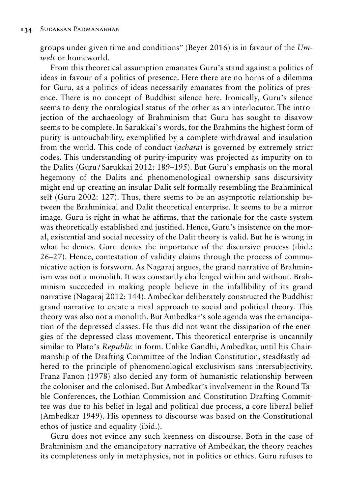groups under given time and conditions" (Beyer 2016) is in favour of the *Umwelt* or homeworld.

From this theoretical assumption emanates Guru's stand against a politics of ideas in favour of a politics of presence. Here there are no horns of a dilemma for Guru, as a politics of ideas necessarily emanates from the politics of presence. There is no concept of Buddhist silence here. Ironically, Guru's silence seems to deny the ontological status of the other as an interlocutor. The introjection of the archaeology of Brahminism that Guru has sought to disavow seems to be complete. In Sarukkai's words, for the Brahmins the highest form of purity is untouchability, exemplified by a complete withdrawal and insulation from the world. This code of conduct (*achara*) is governed by extremely strict codes. This understanding of purity-impurity was projected as impurity on to the Dalits (Guru / Sarukkai 2012: 189–195). But Guru's emphasis on the moral hegemony of the Dalits and phenomenological ownership sans discursivity might end up creating an insular Dalit self formally resembling the Brahminical self (Guru 2002: 127). Thus, there seems to be an asymptotic relationship between the Brahminical and Dalit theoretical enterprise. It seems to be a mirror image. Guru is right in what he affirms, that the rationale for the caste system was theoretically established and justified. Hence, Guru's insistence on the moral, existential and social necessity of the Dalit theory is valid. But he is wrong in what he denies. Guru denies the importance of the discursive process (ibid.: 26–27). Hence, contestation of validity claims through the process of communicative action is forsworn. As Nagaraj argues, the grand narrative of Brahminism was not a monolith. It was constantly challenged within and without. Brahminism succeeded in making people believe in the infallibility of its grand narrative (Nagaraj 2012: 144). Ambedkar deliberately constructed the Buddhist grand narrative to create a rival approach to social and political theory. This theory was also not a monolith. But Ambedkar's sole agenda was the emancipation of the depressed classes. He thus did not want the dissipation of the energies of the depressed class movement. This theoretical enterprise is uncannily similar to Plato's *Republic* in form. Unlike Gandhi, Ambedkar, until his Chairmanship of the Drafting Committee of the Indian Constitution, steadfastly adhered to the principle of phenomenological exclusivism sans intersubjectivity. Franz Fanon (1978) also denied any form of humanistic relationship between the coloniser and the colonised. But Ambedkar's involvement in the Round Table Conferences, the Lothian Commission and Constitution Drafting Committee was due to his belief in legal and political due process, a core liberal belief (Ambedkar 1949). His openness to discourse was based on the Constitutional ethos of justice and equality (ibid.).

Guru does not evince any such keenness on discourse. Both in the case of Brahminism and the emancipatory narrative of Ambedkar, the theory reaches its completeness only in metaphysics, not in politics or ethics. Guru refuses to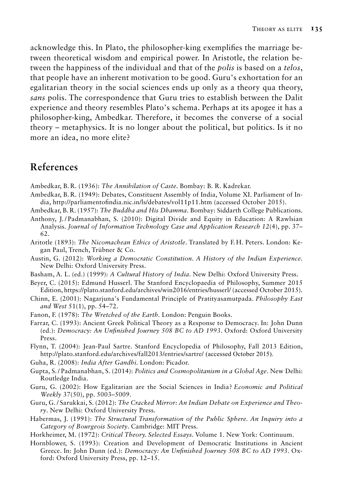acknowledge this. In Plato, the philosopher-king exemplifies the marriage between theoretical wisdom and empirical power. In Aristotle, the relation between the happiness of the individual and that of the *polis* is based on a *telos*, that people have an inherent motivation to be good. Guru's exhortation for an egalitarian theory in the social sciences ends up only as a theory qua theory, *sans* polis. The correspondence that Guru tries to establish between the Dalit experience and theory resembles Plato's schema. Perhaps at its apogee it has a philosopher-king, Ambedkar. Therefore, it becomes the converse of a social theory – metaphysics. It is no longer about the political, but politics. Is it no more an idea, no more elite?

## **References**

- Ambedkar, B. R. (1936): *The Annihilation of Caste.* Bombay: B. R. Kadrekar.
- Ambedkar, B. R. (1949): Debates, Constituent Assembly of India, Volume XI. Parliament of India, http://parliamentofindia.nic.in/ls/debates/vol11p11.htm (accessed October 2015).
- Ambedkar, B. R. (1957): *The Buddha and His Dhamma*. Bombay: Siddarth College Publications.
- Anthony, J. / Padmanabhan, S. (2010): Digital Divide and Equity in Education: A Rawlsian Analysis. *Journal of Information Technology Case and Application Research 12*(4), pp. 37– 62.
- Aritotle (1893): *The Nicomachean Ethics of Aristotle*. Translated by F. H. Peters. London: Kegan Paul, Trench, Trübner & Co.
- Austin, G. (2012): *Working a Democratic Constitution. A History of the Indian Experience.*  New Delhi: Oxford University Press.
- Basham, A. L. (ed.) (1999): *A Cultural History of India*. New Delhi: Oxford University Press.
- Beyer, C. (2015): Edmund Husserl. The Stanford Encyclopaedia of Philosophy, Summer 2015 Edition, https://plato.stanford.edu/archives/win2016/entries/husserl/ (accessed October 2015).
- Chinn, E. (2001): Nagarjuna's Fundamental Principle of Pratityasamutpada. *Philosophy East and West* 51(1), pp. 54–72.
- Fanon, F. (1978): *The Wretched of the Earth.* London: Penguin Books.
- Farrar, C. (1993): Ancient Greek Political Theory as a Response to Democracy. In: John Dunn (ed.): *Democracy: An Unfinished Journey 508 BC to AD 1993*. Oxford: Oxford University Press.
- Flynn, T. (2004): Jean-Paul Sartre. Stanford Encyclopedia of Philosophy, Fall 2013 Edition, http://plato.stanford.edu/archives/fall2013/entries/sartre/ (accessed October 2015).
- Guha, R. (2008): *India After Gandhi.* London: Picador.
- Gupta, S. / Padmanabhan, S. (2014): *Politics and Cosmopolitanism in a Global Age*. New Delhi: Routledge India.
- Guru, G. (2002): How Egalitarian are the Social Sciences in India? *Economic and Political Weekly* 37(50), pp. 5003–5009.
- Guru, G. / Sarukkai, S. (2012): *The Cracked Mirror: An Indian Debate on Experience and Theory*. New Delhi: Oxford University Press.
- Habermas, J. (1991): *The Structural Transformation of the Public Sphere. An Inquiry into a Category of Bourgeois Society*. Cambridge: MIT Press.
- Horkheimer, M. (1972): *Critical Theory. Selected Essays*. Volume 1. New York: Continuum.
- Hornblower, S. (1993): Creation and Development of Democratic Institutions in Ancient Greece. In: John Dunn (ed.): *Democracy: An Unfinished Journey 508 BC to AD 1993*. Oxford: Oxford University Press, pp. 12–15.